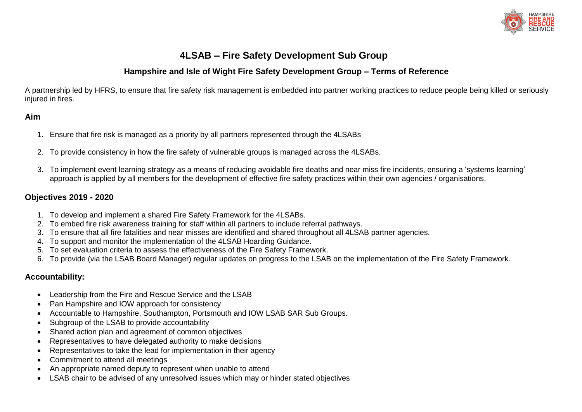

# **4LSAB – Fire Safety Development Sub Group**

## **Hampshire and Isle of Wight Fire Safety Development Group – Terms of Reference**

A partnership led by HFRS, to ensure that fire safety risk management is embedded into partner working practices to reduce people being killed or seriously injured in fires.

#### **Aim**

- 1. Ensure that fire risk is managed as a priority by all partners represented through the 4LSABs
- 2. To provide consistency in how the fire safety of vulnerable groups is managed across the 4LSABs.
- 3. To implement event learning strategy as a means of reducing avoidable fire deaths and near miss fire incidents, ensuring a 'systems learning' approach is applied by all members for the development of effective fire safety practices within their own agencies / organisations.

### **Objectives 2019 - 2020**

- 1. To develop and implement a shared Fire Safety Framework for the 4LSABs.
- 2. To embed fire risk awareness training for staff within all partners to include referral pathways.
- 3. To ensure that all fire fatalities and near misses are identified and shared throughout all 4LSAB partner agencies.
- 4. To support and monitor the implementation of the 4LSAB Hoarding Guidance.
- 5. To set evaluation criteria to assess the effectiveness of the Fire Safety Framework.
- 6. To provide (via the LSAB Board Manager) regular updates on progress to the LSAB on the implementation of the Fire Safety Framework.

#### **Accountability:**

- Leadership from the Fire and Rescue Service and the LSAB
- Pan Hampshire and IOW approach for consistency
- Accountable to Hampshire, Southampton, Portsmouth and IOW LSAB SAR Sub Groups.
- Subgroup of the LSAB to provide accountability
- Shared action plan and agreement of common objectives
- Representatives to have delegated authority to make decisions
- Representatives to take the lead for implementation in their agency
- Commitment to attend all meetings
- An appropriate named deputy to represent when unable to attend
- LSAB chair to be advised of any unresolved issues which may or hinder stated objectives